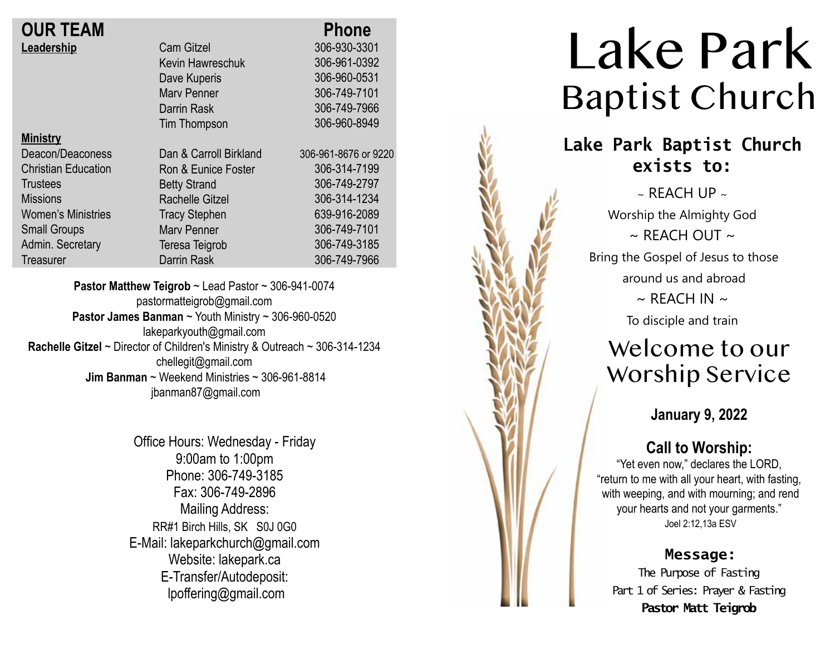| <b>OUR TEAM</b>            |                        | <b>Phone</b>         |
|----------------------------|------------------------|----------------------|
| Leadership                 | <b>Cam Gitzel</b>      | 306-930-3301         |
|                            | Kevin Hawreschuk       | 306-961-0392         |
|                            | Dave Kuperis           | 306-960-0531         |
|                            | <b>Mary Penner</b>     | 306-749-7101         |
|                            | Darrin Rask            | 306-749-7966         |
|                            | Tim Thompson           | 306-960-8949         |
| <b>Ministry</b>            |                        |                      |
| Deacon/Deaconess           | Dan & Carroll Birkland | 306-961-8676 or 9220 |
| <b>Christian Education</b> | Ron & Eunice Foster    | 306-314-7199         |
| <b>Trustees</b>            | <b>Betty Strand</b>    | 306-749-2797         |
| <b>Missions</b>            | <b>Rachelle Gitzel</b> | 306-314-1234         |
| <b>Women's Ministries</b>  | <b>Tracy Stephen</b>   | 639-916-2089         |
| <b>Small Groups</b>        | <b>Mary Penner</b>     | 306-749-7101         |
| Admin. Secretary           | Teresa Teigrob         | 306-749-3185         |
| Treasurer                  | Darrin Rask            | 306-749-7966         |

**Pastor Matthew Teigrob** ~ Lead Pastor ~ 306-941-0074 pastormatteigrob@gmail.com **Pastor James Banman** ~ Youth Ministry ~ 306-960-0520 lakeparkyouth@gmail.com **Rachelle Gitzel** ~ Director of Children's Ministry & Outreach ~ 306-314-1234 chellegit@gmail.com  **Jim Banman** ~ Weekend Ministries ~ 306-961-8814 jbanman87@gmail.com

> Office Hours: Wednesday - Friday 9:00am to 1:00pm Phone: 306-749-3185 Fax: 306-749-2896 Mailing Address: RR#1 Birch Hills, SK S0J 0G0 E-Mail: lakeparkchurch@gmail.com Website: lakepark.ca E-Transfer/Autodeposit: lpoffering@gmail.com